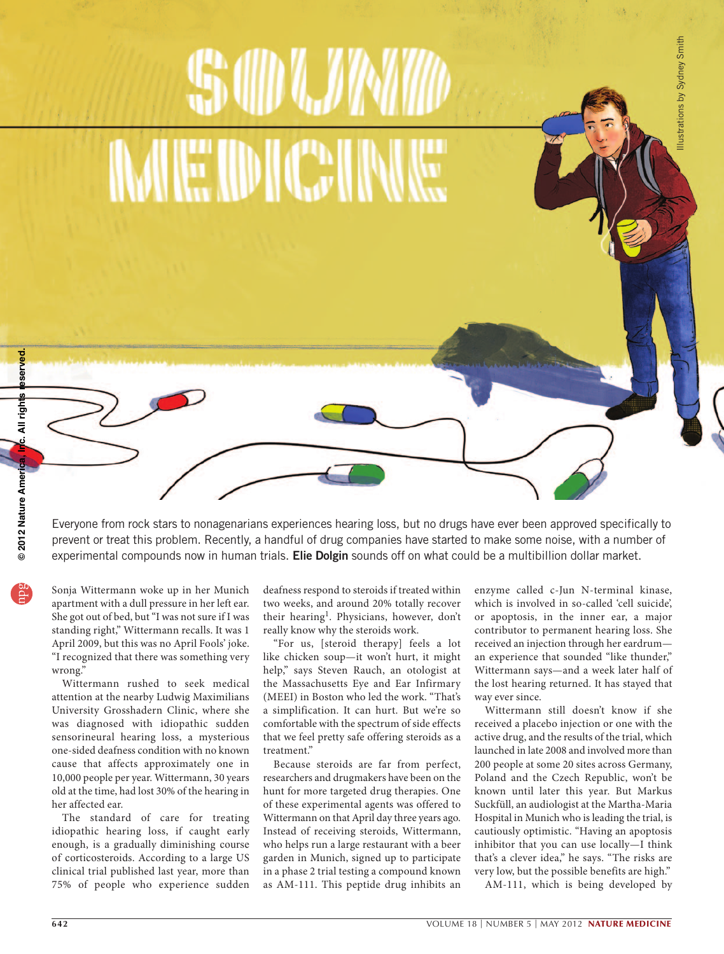်ခို

# ME ONC ING

Everyone from rock stars to nonagenarians experiences hearing loss, but no drugs have ever been approved specifically to prevent or treat this problem. Recently, a handful of drug companies have started to make some noise, with a number of experimental compounds now in human trials. Elie Dolgin sounds off on what could be a multibillion dollar market.

Sonja Wittermann woke up in her Munich apartment with a dull pressure in her left ear. She got out of bed, but "I was not sure if I was standing right," Wittermann recalls. It was 1 April 2009, but this was no April Fools' joke. "I recognized that there was something very

Wittermann rushed to seek medical attention at the nearby Ludwig Maximilians University Grosshadern Clinic, where she was diagnosed with idiopathic sudden sensorineural hearing loss, a mysterious one-sided deafness condition with no known cause that affects approximately one in 10,000 people per year. Wittermann, 30 years old at the time, had lost 30% of the hearing in her affected ear.

The standard of care for treating idiopathic hearing loss, if caught early enough, is a gradually diminishing course of corticosteroids. According to a large US clinical trial published last year, more than 75% of people who experience sudden

deafness respond to steroids if treated within two weeks, and around 20% totally recover their hearing<sup>1</sup>. Physicians, however, don't really know why the steroids work.

"For us, [steroid therapy] feels a lot like chicken soup—it won't hurt, it might help," says Steven Rauch, an otologist at the Massachusetts Eye and Ear Infirmary (MEEI) in Boston who led the work. "That's a simplification. It can hurt. But we're so comfortable with the spectrum of side effects that we feel pretty safe offering steroids as a treatment."

Because steroids are far from perfect, researchers and drugmakers have been on the hunt for more targeted drug therapies. One of these experimental agents was offered to Wittermann on that April day three years ago. Instead of receiving steroids, Wittermann, who helps run a large restaurant with a beer garden in Munich, signed up to participate in a phase 2 trial testing a compound known as AM-111. This peptide drug inhibits an

enzyme called c-Jun N-terminal kinase, which is involved in so-called 'cell suicide', or apoptosis, in the inner ear, a major contributor to permanent hearing loss. She received an injection through her eardrum an experience that sounded "like thunder," Wittermann says—and a week later half of the lost hearing returned. It has stayed that way ever since.

Illustrations by Sydney Smith

Illustrations by Sydney Smith

Wittermann still doesn't know if she received a placebo injection or one with the active drug, and the results of the trial, which launched in late 2008 and involved more than 200 people at some 20 sites across Germany, Poland and the Czech Republic, won't be known until later this year. But Markus Suckfüll, an audiologist at the Martha-Maria Hospital in Munich who is leading the trial, is cautiously optimistic. "Having an apoptosis inhibitor that you can use locally—I think that's a clever idea," he says. "The risks are very low, but the possible benefits are high."

AM-111, which is being developed by

wrong."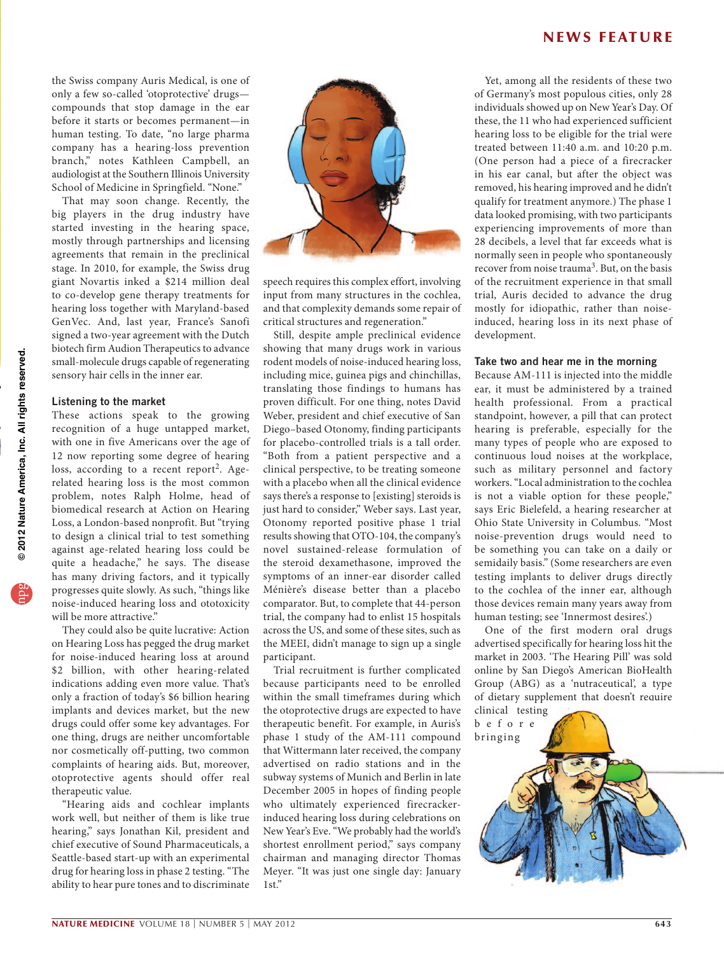# news feature

the Swiss company Auris Medical, is one of only a few so-called 'otoprotective' drugs compounds that stop damage in the ear before it starts or becomes permanent—in human testing. To date, "no large pharma company has a hearing-loss prevention branch," notes Kathleen Campbell, an audiologist at the Southern Illinois University School of Medicine in Springfield. "None."

That may soon change. Recently, the big players in the drug industry have started investing in the hearing space, mostly through partnerships and licensing agreements that remain in the preclinical stage. In 2010, for example, the Swiss drug giant Novartis inked a \$214 million deal to co-develop gene therapy treatments for hearing loss together with Maryland-based GenVec. And, last year, France's Sanofi signed a two-year agreement with the Dutch biotech firm Audion Therapeutics to advance small-molecule drugs capable of regenerating sensory hair cells in the inner ear.

# Listening to the market

These actions speak to the growing recognition of a huge untapped market, with one in five Americans over the age of 12 now reporting some degree of hearing loss, according to a recent report<sup>2</sup>. Agerelated hearing loss is the most common problem, notes Ralph Holme, head of biomedical research at Action on Hearing Loss, a London-based nonprofit. But "trying to design a clinical trial to test something against age-related hearing loss could be quite a headache," he says. The disease has many driving factors, and it typically progresses quite slowly. As such, "things like noise-induced hearing loss and ototoxicity will be more attractive."

They could also be quite lucrative: Action on Hearing Loss has pegged the drug market for noise-induced hearing loss at around \$2 billion, with other hearing-related indications adding even more value. That's only a fraction of today's \$6 billion hearing implants and devices market, but the new drugs could offer some key advantages. For one thing, drugs are neither uncomfortable nor cosmetically off-putting, two common complaints of hearing aids. But, moreover, otoprotective agents should offer real therapeutic value.

"Hearing aids and cochlear implants work well, but neither of them is like true hearing," says Jonathan Kil, president and chief executive of Sound Pharmaceuticals, a Seattle-based start-up with an experimental drug for hearing loss in phase 2 testing. "The ability to hear pure tones and to discriminate



speech requires this complex effort, involving input from many structures in the cochlea, and that complexity demands some repair of critical structures and regeneration."

Still, despite ample preclinical evidence showing that many drugs work in various rodent models of noise-induced hearing loss, including mice, guinea pigs and chinchillas, translating those findings to humans has proven difficult. For one thing, notes David Weber, president and chief executive of San Diego–based Otonomy, finding participants for placebo-controlled trials is a tall order. "Both from a patient perspective and a clinical perspective, to be treating someone with a placebo when all the clinical evidence says there's a response to [existing] steroids is just hard to consider," Weber says. Last year, Otonomy reported positive phase 1 trial results showing that OTO-104, the company's novel sustained-release formulation of the steroid dexamethasone, improved the symptoms of an inner-ear disorder called Ménière's disease better than a placebo comparator. But, to complete that 44-person trial, the company had to enlist 15 hospitals across the US, and some of these sites, such as the MEEI, didn't manage to sign up a single participant.

Trial recruitment is further complicated because participants need to be enrolled within the small timeframes during which the otoprotective drugs are expected to have therapeutic benefit. For example, in Auris's phase 1 study of the AM-111 compound that Wittermann later received, the company advertised on radio stations and in the subway systems of Munich and Berlin in late December 2005 in hopes of finding people who ultimately experienced firecrackerinduced hearing loss during celebrations on New Year's Eve. "We probably had the world's shortest enrollment period," says company chairman and managing director Thomas Meyer. "It was just one single day: January 1st."

Yet, among all the residents of these two of Germany's most populous cities, only 28 individuals showed up on New Year's Day. Of these, the 11 who had experienced sufficient hearing loss to be eligible for the trial were treated between 11:40 a.m. and 10:20 p.m. (One person had a piece of a firecracker in his ear canal, but after the object was removed, his hearing improved and he didn't qualify for treatment anymore.) The phase 1 data looked promising, with two participants experiencing improvements of more than 28 decibels, a level that far exceeds what is normally seen in people who spontaneously recover from noise trauma<sup>3</sup>. But, on the basis of the recruitment experience in that small trial, Auris decided to advance the drug mostly for idiopathic, rather than noiseinduced, hearing loss in its next phase of development.

### Take two and hear me in the morning

Because AM-111 is injected into the middle ear, it must be administered by a trained health professional. From a practical standpoint, however, a pill that can protect hearing is preferable, especially for the many types of people who are exposed to continuous loud noises at the workplace, such as military personnel and factory workers. "Local administration to the cochlea is not a viable option for these people," says Eric Bielefeld, a hearing researcher at Ohio State University in Columbus. "Most noise-prevention drugs would need to be something you can take on a daily or semidaily basis." (Some researchers are even testing implants to deliver drugs directly to the cochlea of the inner ear, although those devices remain many years away from human testing; see 'Innermost desires'.)

One of the first modern oral drugs advertised specifically for hearing loss hit the market in 2003. 'The Hearing Pill' was sold online by San Diego's American BioHealth Group (ABG) as a 'nutraceutical', a type of dietary supplement that doesn't require clinical testing

b e f o r e bringing

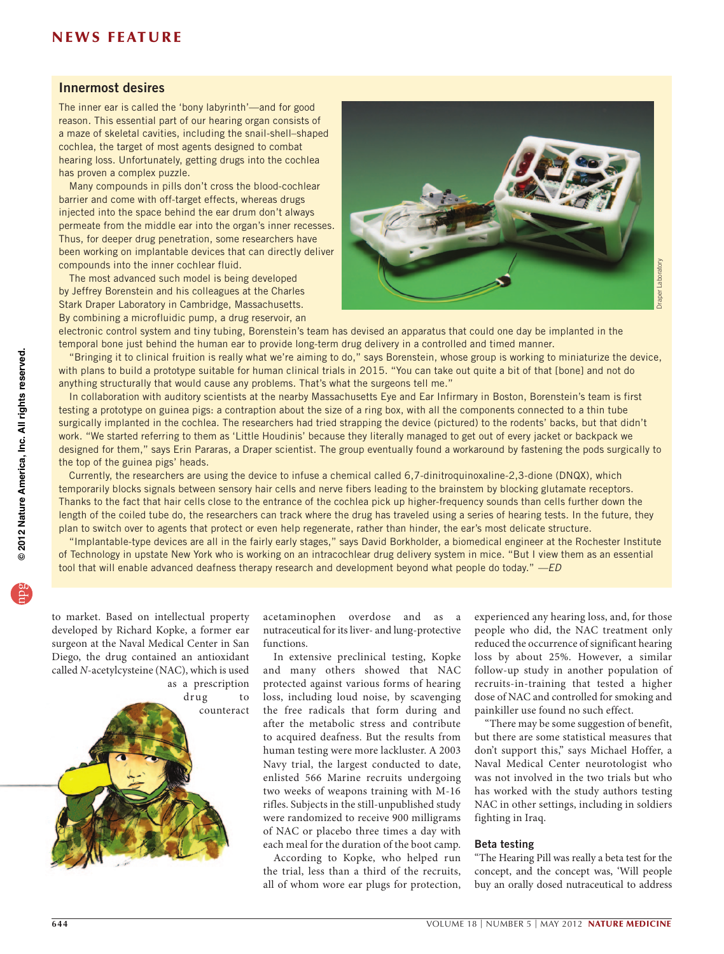# news feature

# Innermost desires

The inner ear is called the 'bony labyrinth'—and for good reason. This essential part of our hearing organ consists of a maze of skeletal cavities, including the snail-shell–shaped cochlea, the target of most agents designed to combat hearing loss. Unfortunately, getting drugs into the cochlea has proven a complex puzzle.

Many compounds in pills don't cross the blood-cochlear barrier and come with off-target effects, whereas drugs injected into the space behind the ear drum don't always permeate from the middle ear into the organ's inner recesses. Thus, for deeper drug penetration, some researchers have been working on implantable devices that can directly deliver compounds into the inner cochlear fluid.

The most advanced such model is being developed by Jeffrey Borenstein and his colleagues at the Charles Stark Draper Laboratory in Cambridge, Massachusetts. By combining a microfluidic pump, a drug reservoir, an



electronic control system and tiny tubing, Borenstein's team has devised an apparatus that could one day be implanted in the temporal bone just behind the human ear to provide long-term drug delivery in a controlled and timed manner.

"Bringing it to clinical fruition is really what we're aiming to do," says Borenstein, whose group is working to miniaturize the device, with plans to build a prototype suitable for human clinical trials in 2015. "You can take out quite a bit of that [bone] and not do anything structurally that would cause any problems. That's what the surgeons tell me."

In collaboration with auditory scientists at the nearby Massachusetts Eye and Ear Infirmary in Boston, Borenstein's team is first testing a prototype on guinea pigs: a contraption about the size of a ring box, with all the components connected to a thin tube surgically implanted in the cochlea. The researchers had tried strapping the device (pictured) to the rodents' backs, but that didn't work. "We started referring to them as 'Little Houdinis' because they literally managed to get out of every jacket or backpack we designed for them," says Erin Pararas, a Draper scientist. The group eventually found a workaround by fastening the pods surgically to the top of the guinea pigs' heads.

Currently, the researchers are using the device to infuse a chemical called 6,7-dinitroquinoxaline-2,3-dione (DNQX), which temporarily blocks signals between sensory hair cells and nerve fibers leading to the brainstem by blocking glutamate receptors. Thanks to the fact that hair cells close to the entrance of the cochlea pick up higher-frequency sounds than cells further down the length of the coiled tube do, the researchers can track where the drug has traveled using a series of hearing tests. In the future, they plan to switch over to agents that protect or even help regenerate, rather than hinder, the ear's most delicate structure.

"Implantable-type devices are all in the fairly early stages," says David Borkholder, a biomedical engineer at the Rochester Institute of Technology in upstate New York who is working on an intracochlear drug delivery system in mice. "But I view them as an essential tool that will enable advanced deafness therapy research and development beyond what people do today." *—ED*

to market. Based on intellectual property developed by Richard Kopke, a former ear surgeon at the Naval Medical Center in San Diego, the drug contained an antioxidant called *N*-acetylcysteine (NAC), which is used as a prescription

> drug to counteract



acetaminophen overdose and as a nutraceutical for its liver- and lung-protective functions.

In extensive preclinical testing, Kopke and many others showed that NAC protected against various forms of hearing loss, including loud noise, by scavenging the free radicals that form during and after the metabolic stress and contribute to acquired deafness. But the results from human testing were more lackluster. A 2003 Navy trial, the largest conducted to date, enlisted 566 Marine recruits undergoing two weeks of weapons training with M-16 rifles. Subjects in the still-unpublished study were randomized to receive 900 milligrams of NAC or placebo three times a day with each meal for the duration of the boot camp.

According to Kopke, who helped run the trial, less than a third of the recruits, all of whom wore ear plugs for protection,

experienced any hearing loss, and, for those people who did, the NAC treatment only reduced the occurrence of significant hearing loss by about 25%. However, a similar follow-up study in another population of recruits-in-training that tested a higher dose of NAC and controlled for smoking and painkiller use found no such effect.

"There may be some suggestion of benefit, but there are some statistical measures that don't support this," says Michael Hoffer, a Naval Medical Center neurotologist who was not involved in the two trials but who has worked with the study authors testing NAC in other settings, including in soldiers fighting in Iraq.

## Beta testing

"The Hearing Pill was really a beta test for the concept, and the concept was, 'Will people buy an orally dosed nutraceutical to address